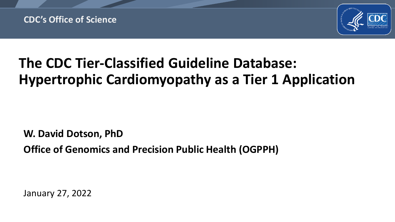

# **The CDC Tier-Classified Guideline Database: Hypertrophic Cardiomyopathy as a Tier 1 Application**

**W. David Dotson, PhD**

**Office of Genomics and Precision Public Health (OGPPH)** 

January 27, 2022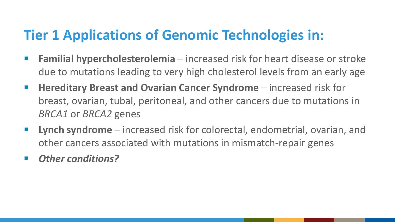#### **Tier 1 Applications of Genomic Technologies in:**

- **Familial hypercholesterolemia**  increased risk for heart disease or stroke due to mutations leading to very high cholesterol levels from an early age
- **Hereditary Breast and Ovarian Cancer Syndrome** increased risk for breast, ovarian, tubal, peritoneal, and other cancers due to mutations in *BRCA1* or *BRCA2* genes
- **Lynch syndrome** increased risk for colorectal, endometrial, ovarian, and other cancers associated with mutations in mismatch-repair genes
- *Other conditions?*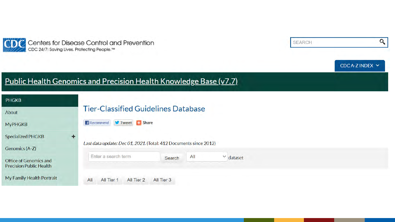



#### Public Health Genomics and Precision Health Knowledge Base (v7.7)

| <b>PHGKB</b>                                             |                                                                   |
|----------------------------------------------------------|-------------------------------------------------------------------|
| About                                                    | <b>Tier-Classified Guidelines Database</b>                        |
| <b>MyPHGKB</b>                                           | Tweet Share<br><b>Recommend</b>                                   |
| <b>Specialized PHGKB</b><br>۰                            |                                                                   |
| Genomics (A-Z)                                           | Last data update: Dec 01, 2021. (Total: 412 Documents since 2012) |
| Office of Genomics and<br><b>Precision Public Health</b> | Enter a search term<br>All<br>$\vee$ dataset<br>Search            |
| My Family Health Portrait                                | All Tier 2<br>All<br>All Tier 3<br>All Tier 1                     |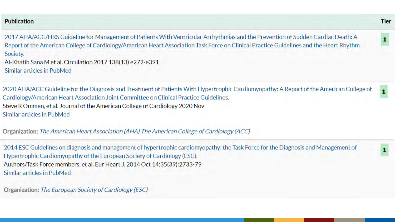#### **Publication**

2017 AHA/ACC/HRS Guideline for Management of Patients With Ventricular Arrhythmias and the Prevention of Sudden Cardiac Death: A Report of the American College of Cardiology/American Heart Association Task Force on Clinical Practice Guidelines and the Heart Rhythm Society. Al-Khatib Sana M et al. Circulation 2017 138(13) e272-e391 Similar articles in PubMed

2020 AHA/ACC Guideline for the Diagnosis and Treatment of Patients With Hypertrophic Cardiomyopathy: A Report of the American College of Cardiology/American Heart Association Joint Committee on Clinical Practice Guidelines. Steve R Ommen, et al. Journal of the American College of Cardiology 2020 Nov Similar articles in PubMed

Organization: The American Heart Association (AHA) The American College of Cardiology (ACC)

2014 ESC Guidelines on diagnosis and management of hypertrophic cardiomyopathy: the Task Force for the Diagnosis and Management of Hypertrophic Cardiomyopathy of the European Society of Cardiology (ESC). Authors/Task Force members, et al. Eur Heart J. 2014 Oct 14;35(39):2733-79 Similar articles in PubMed

Organization: The European Society of Cardiology (ESC)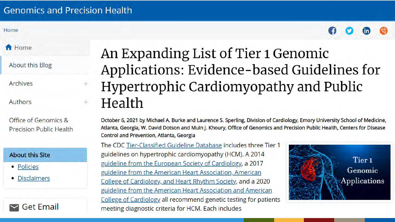#### **Genomics and Precision Health**

Home



**A** Home

About this Blog

Archives

Authors

Office of Genomics & **Precision Public Health** 

#### **About this Site**

- Policies
- Disclaimers



An Expanding List of Tier 1 Genomic Applications: Evidence-based Guidelines for Hypertrophic Cardiomyopathy and Public Health

October 6, 2021 by Michael A. Burke and Laurence S. Sperling, Division of Cardiology, Emory University School of Medicine, Atlanta, Georgia, W. David Dotson and Muin J. Khoury, Office of Genomics and Precision Public Health, Centers for Disease Control and Prevention, Atlanta, Georgia

The CDC Tier-Classified Guideline Database includes three Tier 1 guidelines on hypertrophic cardiomyopathy (HCM). A 2014 guideline from the European Society of Cardiology, a 2017 guideline from the American Heart Association, American College of Cardiology, and Heart Rhythm Society, and a 2020 guideline from the American Heart Association and American College of Cardiology all recommend genetic testing for patients meeting diagnostic criteria for HCM. Each includes

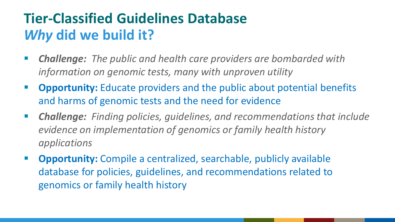### **Tier-Classified Guidelines Database** *Why* **did we build it?**

- *Challenge: The public and health care providers are bombarded with information on genomic tests, many with unproven utility*
- **Opportunity:** Educate providers and the public about potential benefits and harms of genomic tests and the need for evidence
- *Challenge: Finding policies, guidelines, and recommendations that include evidence on implementation of genomics or family health history applications*
- **Opportunity:** Compile a centralized, searchable, publicly available database for policies, guidelines, and recommendations related to genomics or family health history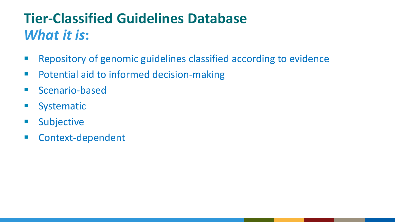# **Tier-Classified Guidelines Database** *What it is***:**

- **Repository of genomic guidelines classified according to evidence**
- **Potential aid to informed decision-making**
- **Scenario-based**
- **Systematic**
- **Subjective**
- **EXECONTERENT**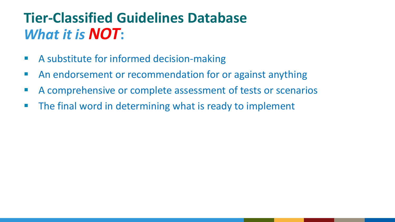### **Tier-Classified Guidelines Database** *What it is NOT***:**

- A substitute for informed decision-making
- **An endorsement or recommendation for or against anything**
- A comprehensive or complete assessment of tests or scenarios
- **The final word in determining what is ready to implement**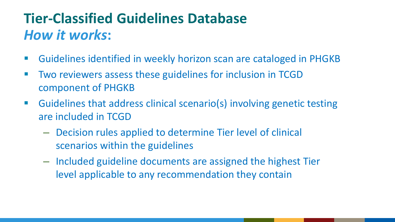### **Tier-Classified Guidelines Database** *How it works***:**

- Guidelines identified in weekly horizon scan are cataloged in PHGKB
- Two reviewers assess these guidelines for inclusion in TCGD component of PHGKB
- Guidelines that address clinical scenario(s) involving genetic testing are included in TCGD
	- Decision rules applied to determine Tier level of clinical scenarios within the guidelines
	- Included guideline documents are assigned the highest Tier level applicable to any recommendation they contain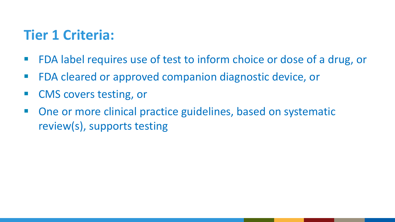#### **Tier 1 Criteria:**

- **FDA label requires use of test to inform choice or dose of a drug, or**
- **FDA cleared or approved companion diagnostic device, or**
- CMS covers testing, or
- One or more clinical practice guidelines, based on systematic review(s), supports testing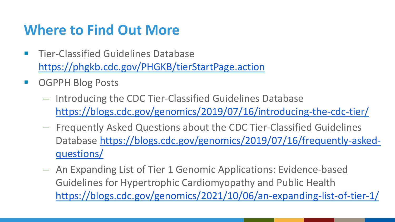#### **Where to Find Out More**

- **Tier-Classified Guidelines Database** <https://phgkb.cdc.gov/PHGKB/tierStartPage.action>
- OGPPH Blog Posts
	- Introducing the CDC Tier-Classified Guidelines Database <https://blogs.cdc.gov/genomics/2019/07/16/introducing-the-cdc-tier/>
	- Frequently Asked Questions about the CDC Tier-Classified Guidelines [Database https://blogs.cdc.gov/genomics/2019/07/16/frequently-asked](https://blogs.cdc.gov/genomics/2019/07/16/frequently-asked-questions/)questions/
	- An Expanding List of Tier 1 Genomic Applications: Evidence-based Guidelines for Hypertrophic Cardiomyopathy and Public Health <https://blogs.cdc.gov/genomics/2021/10/06/an-expanding-list-of-tier-1/>